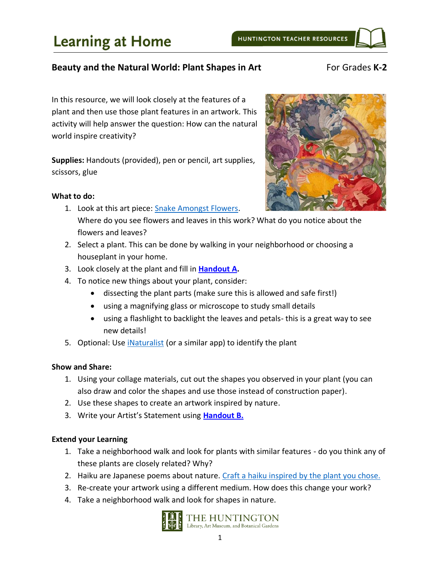### **Beauty and the Natural World: Plant Shapes in Art For Grades K-2**

In this resource, we will look closely at the features of a plant and then use those plant features in an artwork. This activity will help answer the question: How can the natural world inspire creativity?

**Supplies:** Handouts (provided), pen or pencil, art supplies, scissors, glue

#### **What to do:**

- 1. Look at this art piece: [Snake Amongst Flowers.](https://huntington.emuseum.com/objects/52874/snake-amongst-flowers?ctx=5bc6d7fd8fb95d2ff895f4cf3cdb76edcd67dcc7&idx=0) Where do you see flowers and leaves in this work? What do you notice about the flowers and leaves?
- 2. Select a plant. This can be done by walking in your neighborhood or choosing a houseplant in your home.
- 3. Look closely at the plant and fill in **[Handout A.](#page-3-0)**
- 4. To notice new things about your plant, consider:
	- dissecting the plant parts (make sure this is allowed and safe first!)
	- using a magnifying glass or microscope to study small details
	- using a flashlight to backlight the leaves and petals- this is a great way to see new details!
- 5. Optional: Use [iNaturalist](https://play.google.com/store/apps/details?id=org.inaturalist.android&hl=en_US) (or a similar app) to identify the plant

#### **Show and Share:**

- 1. Using your collage materials, cut out the shapes you observed in your plant (you can also draw and color the shapes and use those instead of construction paper).
- 2. Use these shapes to create an artwork inspired by nature.
- 3. Write your Artist's Statement using **[Handout](#page-4-0) B.**

#### **Extend your Learning**

- 1. Take a neighborhood walk and look for plants with similar features do you think any of these plants are closely related? Why?
- 2. Haiku are Japanese poems about nature. [Craft a haiku inspired by the plant you chose.](http://www.readwritethink.org/files/resources/printouts/30697_haiku.pdf)
- 3. Re-create your artwork using a different medium. How does this change your work?
- 4. Take a neighborhood walk and look for shapes in nature.



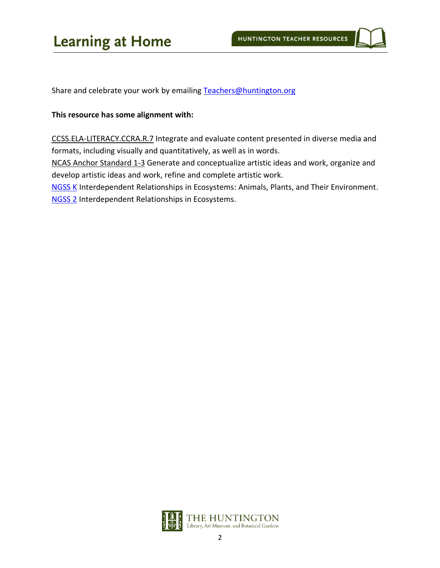# **Learning at Home**

Share and celebrate your work by emailing [Teachers@huntington.org](mailto:Teachers@huntington.org)

### **This resource has some alignment with:**

CCSS.ELA-LITERACY.CCRA.R.7 Integrate and evaluate content presented in diverse media and formats, including visually and quantitatively, as well as in words.

NCAS Anchor Standard 1-3 Generate and conceptualize artistic ideas and work, organize and develop artistic ideas and work, refine and complete artistic work.

**[NGSS](https://www.nextgenscience.org/topic-arrangement/kinterdependent-relationships-ecosystems-animals-plants-and-their-environment) K** Interdependent Relationships in Ecosystems: Animals, Plants, and Their Environment. [NGSS](https://www.nextgenscience.org/topic-arrangement/2interdependent-relationships-ecosystems) 2 Interdependent Relationships in Ecosystems.

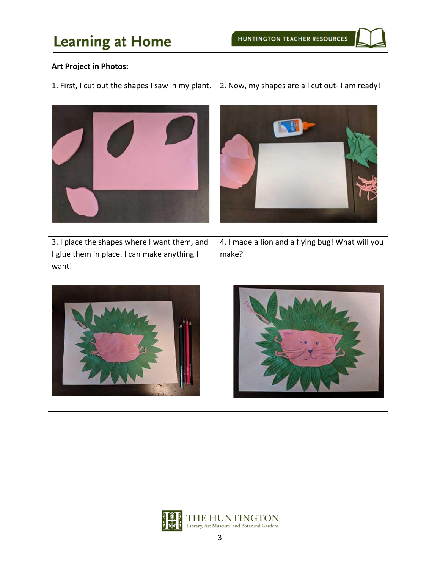# **Learning at Home**

### **Art Project in Photos:**

1. First, I cut out the shapes I saw in my plant.  $\vert$  2. Now, my shapes are all cut out- I am ready! 3. I place the shapes where I want them, and I glue them in place. I can make anything I want! 4. I made a lion and a flying bug! What will you make?

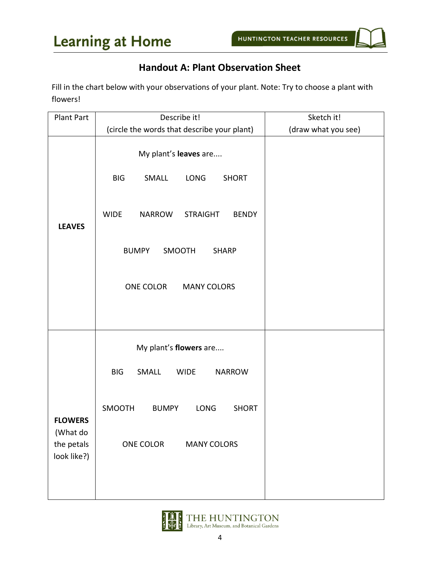## **Handout A: Plant Observation Sheet**

<span id="page-3-0"></span>Fill in the chart below with your observations of your plant. Note: Try to choose a plant with flowers!

| <b>Plant Part</b>                                       | Describe it!                                                                                                                                                       | Sketch it!          |
|---------------------------------------------------------|--------------------------------------------------------------------------------------------------------------------------------------------------------------------|---------------------|
|                                                         | (circle the words that describe your plant)                                                                                                                        | (draw what you see) |
| <b>LEAVES</b>                                           | My plant's leaves are<br><b>BIG</b><br>SMALL<br><b>LONG</b><br><b>SHORT</b><br><b>WIDE</b><br>NARROW<br><b>STRAIGHT</b><br><b>BENDY</b>                            |                     |
|                                                         | <b>BUMPY</b><br>SMOOTH<br><b>SHARP</b><br>ONE COLOR<br><b>MANY COLORS</b>                                                                                          |                     |
| <b>FLOWERS</b><br>(What do<br>the petals<br>look like?) | My plant's flowers are<br><b>BIG</b><br>SMALL<br><b>WIDE</b><br><b>NARROW</b><br>SMOOTH<br>LONG<br><b>SHORT</b><br><b>BUMPY</b><br>ONE COLOR<br><b>MANY COLORS</b> |                     |